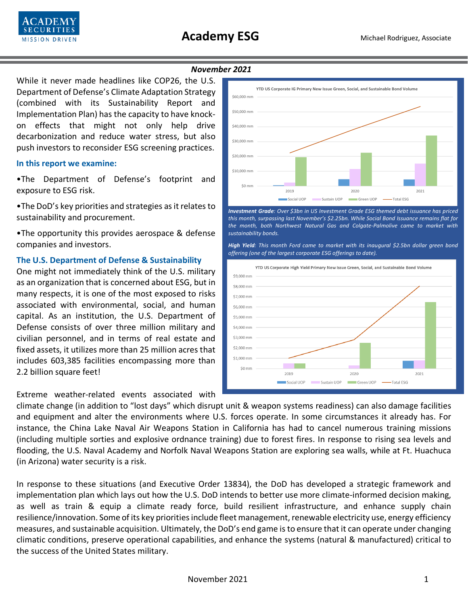

#### *November 2021*

While it never made headlines like COP26, the U.S. Department of Defense's Climate Adaptation Strategy (combined with its Sustainability Report and Implementation Plan) has the capacity to have knockon effects that might not only help drive decarbonization and reduce water stress, but also push investors to reconsider ESG screening practices.

### **In this report we examine:**

•The Department of Defense's footprint and exposure to ESG risk.

•The DoD's key priorities and strategies as it relates to sustainability and procurement.

•The opportunity this provides aerospace & defense companies and investors.

### **The U.S. Department of Defense & Sustainability**

One might not immediately think of the U.S. military as an organization that is concerned about ESG, but in many respects, it is one of the most exposed to risks associated with environmental, social, and human capital. As an institution, the U.S. Department of Defense consists of over three million military and civilian personnel, and in terms of real estate and fixed assets, it utilizes more than 25 million acres that includes 603,385 facilities encompassing more than 2.2 billion square feet!

## Extreme weather-related events associated with



*Investment Grade: Over \$3bn in US Investment Grade ESG themed debt issuance has priced this month, surpassing last November's \$2.25bn. While Social Bond Issuance remains flat for the month, both Northwest Natural Gas and Colgate-Palmolive came to market with sustainability bonds.*

*High Yield: This month Ford came to market with its inaugural \$2.5bn dollar green bond offering (one of the largest corporate ESG offerings to date).*



climate change (in addition to "lost days" which disrupt unit & weapon systems readiness) can also damage facilities and equipment and alter the environments where U.S. forces operate. In some circumstances it already has. For instance, the China Lake Naval Air Weapons Station in California has had to cancel numerous training missions (including multiple sorties and explosive ordnance training) due to forest fires. In response to rising sea levels and flooding, the U.S. Naval Academy and Norfolk Naval Weapons Station are exploring sea walls, while at Ft. Huachuca (in Arizona) water security is a risk.

In response to these situations (and Executive Order 13834), the DoD has developed a strategic framework and implementation plan which lays out how the U.S. DoD intends to better use more climate-informed decision making, as well as train & equip a climate ready force, build resilient infrastructure, and enhance supply chain resilience/innovation. Some of its key priorities include fleet management, renewable electricity use, energy efficiency measures, and sustainable acquisition. Ultimately, the DoD's end game is to ensure that it can operate under changing climatic conditions, preserve operational capabilities, and enhance the systems (natural & manufactured) critical to the success of the United States military.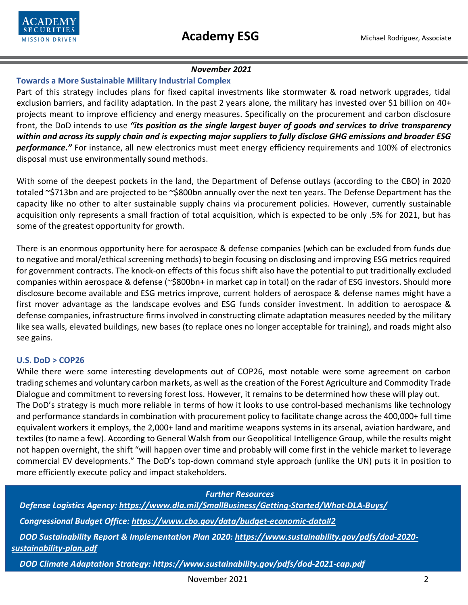

# *November 2021*

# **Towards a More Sustainable Military Industrial Complex**

Part of this strategy includes plans for fixed capital investments like stormwater & road network upgrades, tidal exclusion barriers, and facility adaptation. In the past 2 years alone, the military has invested over \$1 billion on 40+ projects meant to improve efficiency and energy measures. Specifically on the procurement and carbon disclosure front, the DoD intends to use *"its position as the single largest buyer of goods and services to drive transparency within and across its supply chain and is expecting major suppliers to fully disclose GHG emissions and broader ESG performance."* For instance, all new electronics must meet energy efficiency requirements and 100% of electronics disposal must use environmentally sound methods.

With some of the deepest pockets in the land, the Department of Defense outlays (according to the CBO) in 2020 totaled ~\$713bn and are projected to be ~\$800bn annually over the next ten years. The Defense Department has the capacity like no other to alter sustainable supply chains via procurement policies. However, currently sustainable acquisition only represents a small fraction of total acquisition, which is expected to be only .5% for 2021, but has some of the greatest opportunity for growth.

There is an enormous opportunity here for aerospace & defense companies (which can be excluded from funds due to negative and moral/ethical screening methods) to begin focusing on disclosing and improving ESG metrics required for government contracts. The knock-on effects of this focus shift also have the potential to put traditionally excluded companies within aerospace & defense (~\$800bn+ in market cap in total) on the radar of ESG investors. Should more disclosure become available and ESG metrics improve, current holders of aerospace & defense names might have a first mover advantage as the landscape evolves and ESG funds consider investment. In addition to aerospace & defense companies, infrastructure firms involved in constructing climate adaptation measures needed by the military like sea walls, elevated buildings, new bases (to replace ones no longer acceptable for training), and roads might also see gains.

# **U.S. DoD > COP26**

While there were some interesting developments out of COP26, most notable were some agreement on carbon trading schemes and voluntary carbon markets, as well as the creation of the Forest Agriculture and Commodity Trade Dialogue and commitment to reversing forest loss. However, it remains to be determined how these will play out. The DoD's strategy is much more reliable in terms of how it looks to use control-based mechanisms like technology and performance standards in combination with procurement policy to facilitate change across the 400,000+ full time equivalent workers it employs, the 2,000+ land and maritime weapons systems in its arsenal, aviation hardware, and textiles (to name a few). According to General Walsh from our Geopolitical Intelligence Group, while the results might not happen overnight, the shift "will happen over time and probably will come first in the vehicle market to leverage commercial EV developments." The DoD's top-down command style approach (unlike the UN) puts it in position to more efficiently execute policy and impact stakeholders.

 *Further Resources Defense Logistics Agency:<https://www.dla.mil/SmallBusiness/Getting-Started/What-DLA-Buys/> Congressional Budget Office:<https://www.cbo.gov/data/budget-economic-data#2> DOD Sustainability Report & Implementation Plan 2020: [https://www.sustainability.gov/pdfs/dod-2020](https://www.sustainability.gov/pdfs/dod-2020-%20%20%20%20%20%20sustainability-plan.pdf)  [sustainability-plan.pdf](https://www.sustainability.gov/pdfs/dod-2020-%20%20%20%20%20%20sustainability-plan.pdf)*

 *DOD Climate Adaptation Strategy:<https://www.sustainability.gov/pdfs/dod-2021-cap.pdf>*